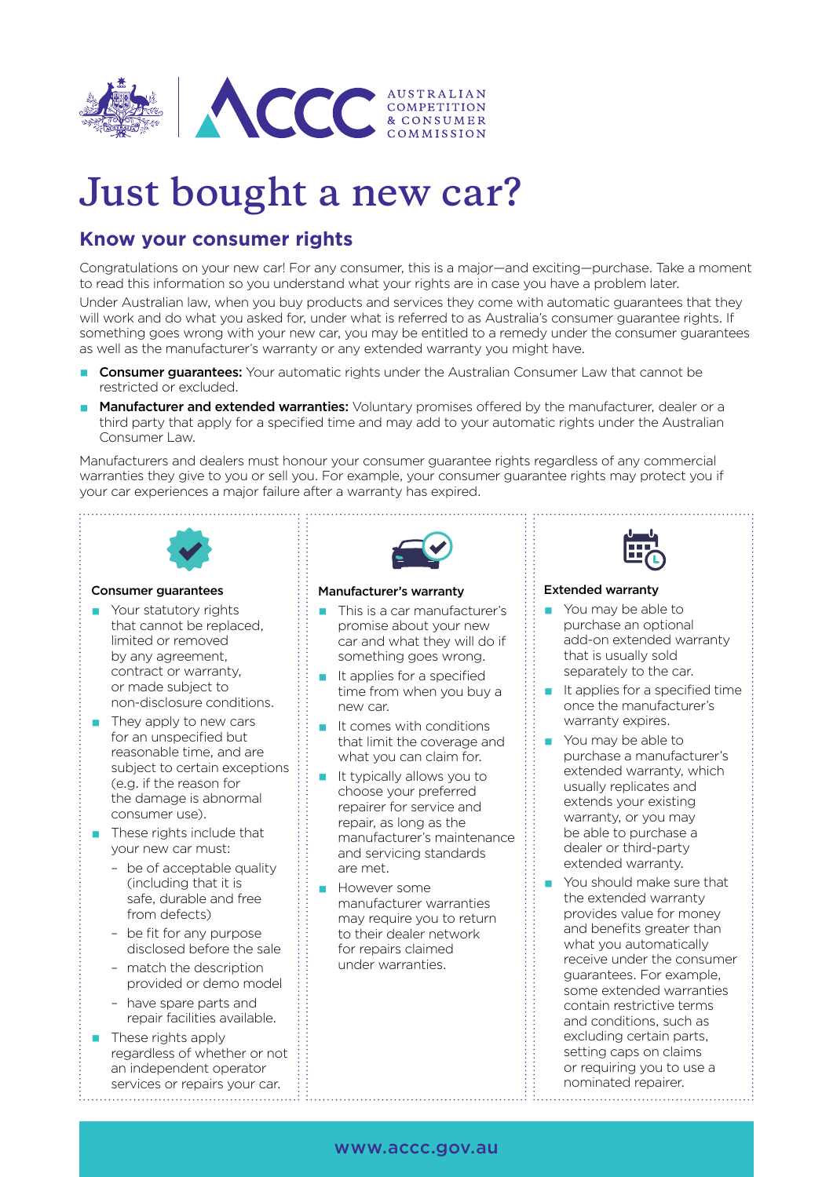

# **Just bought a new car?**

## **Know your consumer rights**

Congratulations on your new car! For any consumer, this is a major—and exciting—purchase. Take a moment to read this information so you understand what your rights are in case you have a problem later.

Under Australian law, when you buy products and services they come with automatic guarantees that they will work and do what you asked for, under what is referred to as Australia's consumer guarantee rights. If something goes wrong with your new car, you may be entitled to a remedy under the consumer guarantees as well as the manufacturer's warranty or any extended warranty you might have.

- **Consumer guarantees:** Your automatic rights under the Australian Consumer Law that cannot be restricted or excluded.
- Manufacturer and extended warranties: Voluntary promises offered by the manufacturer, dealer or a third party that apply for a specified time and may add to your automatic rights under the Australian Consumer Law.

Manufacturers and dealers must honour your consumer guarantee rights regardless of any commercial warranties they give to you or sell you. For example, your consumer guarantee rights may protect you if your car experiences a major failure after a warranty has expired.



### Consumer guarantees

- **Your statutory rights** that cannot be replaced, limited or removed by any agreement, contract or warranty, or made subject to non-disclosure conditions.
- $\blacksquare$  They apply to new cars for an unspecified but reasonable time, and are subject to certain exceptions (e.g. if the reason for the damage is abnormal consumer use).
- **These rights include that** your new car must:
	- be of acceptable quality (including that it is safe, durable and free from defects)
	- be fit for any purpose disclosed before the sale
	- match the description provided or demo model
	- have spare parts and repair facilities available.
- **These rights apply** regardless of whether or not an independent operator services or repairs your car.



### Manufacturer's warranty

- **This is a car manufacturer's** promise about your new car and what they will do if something goes wrong.
- $\blacksquare$  It applies for a specified time from when you buy a new car.
- It comes with conditions that limit the coverage and what you can claim for.
- $\blacksquare$  It typically allows you to choose your preferred repairer for service and repair, as long as the manufacturer's maintenance and servicing standards are met.
- **T** However some manufacturer warranties may require you to return to their dealer network for repairs claimed under warranties.



### Extended warranty

- You may be able to purchase an optional add-on extended warranty that is usually sold separately to the car.
- It applies for a specified time once the manufacturer's warranty expires.
- You may be able to purchase a manufacturer's extended warranty, which usually replicates and extends your existing warranty, or you may be able to purchase a dealer or third-party extended warranty.
- You should make sure that the extended warranty provides value for money and benefits greater than what you automatically receive under the consumer guarantees. For example, some extended warranties contain restrictive terms and conditions, such as excluding certain parts, setting caps on claims or requiring you to use a nominated repairer.